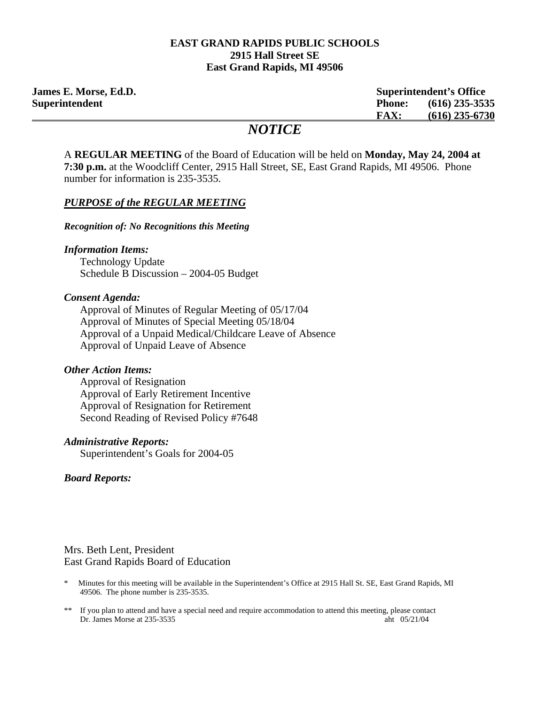#### **EAST GRAND RAPIDS PUBLIC SCHOOLS 2915 Hall Street SE East Grand Rapids, MI 49506**

**James E. Morse, Ed.D. Superintendent's Office Superintendent Phone: (616) 235-3535 FAX: (616) 235-6730**

# *NOTICE*

A **REGULAR MEETING** of the Board of Education will be held on **Monday, May 24, 2004 at 7:30 p.m.** at the Woodcliff Center, 2915 Hall Street, SE, East Grand Rapids, MI 49506. Phone number for information is 235-3535.

### *PURPOSE of the REGULAR MEETING*

*Recognition of: No Recognitions this Meeting* 

### *Information Items:*

Technology Update Schedule B Discussion – 2004-05 Budget

### *Consent Agenda:*

 Approval of Minutes of Regular Meeting of 05/17/04 Approval of Minutes of Special Meeting 05/18/04 Approval of a Unpaid Medical/Childcare Leave of Absence Approval of Unpaid Leave of Absence

### *Other Action Items:*

 Approval of Resignation Approval of Early Retirement Incentive Approval of Resignation for Retirement Second Reading of Revised Policy #7648

### *Administrative Reports:*

Superintendent's Goals for 2004-05

 *Board Reports:*

### Mrs. Beth Lent, President East Grand Rapids Board of Education

- \* Minutes for this meeting will be available in the Superintendent's Office at 2915 Hall St. SE, East Grand Rapids, MI 49506. The phone number is 235-3535.
- \*\* If you plan to attend and have a special need and require accommodation to attend this meeting, please contact Dr. James Morse at 235-3535 aht 05/21/04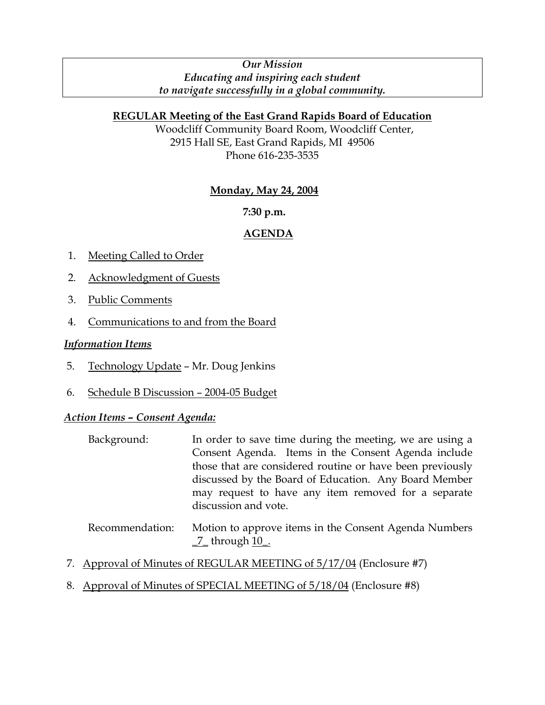### *Our Mission Educating and inspiring each student to navigate successfully in a global community.*

## **REGULAR Meeting of the East Grand Rapids Board of Education**

Woodcliff Community Board Room, Woodcliff Center, 2915 Hall SE, East Grand Rapids, MI 49506 Phone 616-235-3535

## **Monday, May 24, 2004**

## **7:30 p.m.**

## **AGENDA**

- 1. Meeting Called to Order
- 2. Acknowledgment of Guests
- 3. Public Comments
- 4. Communications to and from the Board

### *Information Items*

- 5. Technology Update Mr. Doug Jenkins
- 6. Schedule B Discussion 2004-05 Budget

### *Action Items – Consent Agenda:*

| Background: | In order to save time during the meeting, we are using a  |  |  |  |  |  |
|-------------|-----------------------------------------------------------|--|--|--|--|--|
|             | Consent Agenda. Items in the Consent Agenda include       |  |  |  |  |  |
|             | those that are considered routine or have been previously |  |  |  |  |  |
|             | discussed by the Board of Education. Any Board Member     |  |  |  |  |  |
|             | may request to have any item removed for a separate       |  |  |  |  |  |
|             | discussion and vote.                                      |  |  |  |  |  |
|             |                                                           |  |  |  |  |  |

- Recommendation: Motion to approve items in the Consent Agenda Numbers  $\_7$  through  $10$ .
- 7. Approval of Minutes of REGULAR MEETING of 5/17/04 (Enclosure #7)
- 8. Approval of Minutes of SPECIAL MEETING of 5/18/04 (Enclosure #8)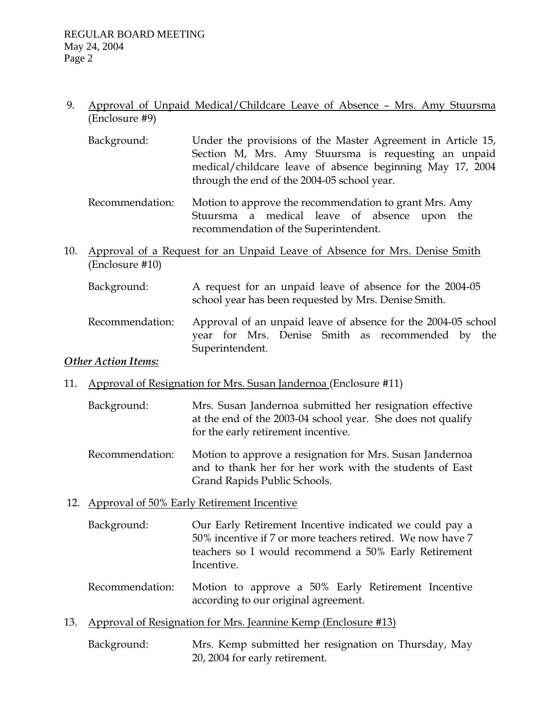## 9. Approval of Unpaid Medical/Childcare Leave of Absence – Mrs. Amy Stuursma (Enclosure #9)

- Background: Under the provisions of the Master Agreement in Article 15, Section M, Mrs. Amy Stuursma is requesting an unpaid medical/childcare leave of absence beginning May 17, 2004 through the end of the 2004-05 school year.
- Recommendation: Motion to approve the recommendation to grant Mrs. Amy Stuursma a medical leave of absence upon the recommendation of the Superintendent.
- 10. Approval of a Request for an Unpaid Leave of Absence for Mrs. Denise Smith (Enclosure #10)
	- Background: A request for an unpaid leave of absence for the 2004-05 school year has been requested by Mrs. Denise Smith.
	- Recommendation: Approval of an unpaid leave of absence for the 2004-05 school year for Mrs. Denise Smith as recommended by the Superintendent.

## *Other Action Items:*

- 11. Approval of Resignation for Mrs. Susan Jandernoa (Enclosure #11)
	- Background: Mrs. Susan Jandernoa submitted her resignation effective at the end of the 2003-04 school year. She does not qualify for the early retirement incentive.
	- Recommendation: Motion to approve a resignation for Mrs. Susan Jandernoa and to thank her for her work with the students of East Grand Rapids Public Schools.

## 12. Approval of 50% Early Retirement Incentive

- Background: Our Early Retirement Incentive indicated we could pay a 50% incentive if 7 or more teachers retired. We now have 7 teachers so I would recommend a 50% Early Retirement Incentive.
- Recommendation: Motion to approve a 50% Early Retirement Incentive according to our original agreement.
- 13. Approval of Resignation for Mrs. Jeannine Kemp (Enclosure #13)
	- Background: Mrs. Kemp submitted her resignation on Thursday, May 20, 2004 for early retirement.